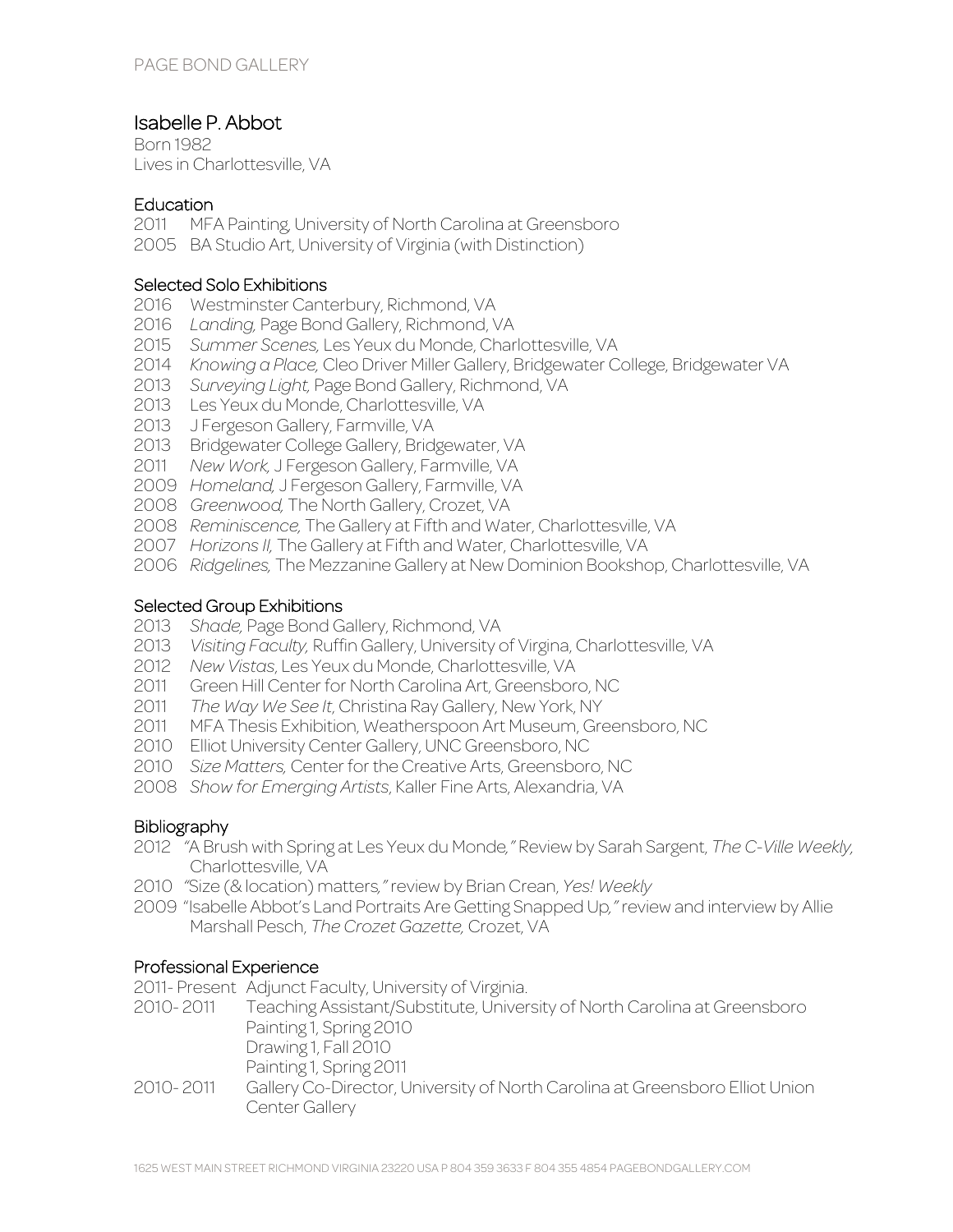# Isabelle P. Abbot

Born 1982 Lives in Charlottesville, VA

#### **Education**

- 2011 MFA Painting, University of North Carolina at Greensboro
- 2005 BA Studio Art, University of Virginia (with Distinction)

#### Selected Solo Exhibitions

- 2016 Westminster Canterbury, Richmond, VA
- 2016 *Landing,* Page Bond Gallery, Richmond, VA
- 2015 *Summer Scenes,* Les Yeux du Monde, Charlottesville, VA
- 2014 *Knowing a Place,* Cleo Driver Miller Gallery, Bridgewater College, Bridgewater VA
- 2013 *Surveying Light,* Page Bond Gallery, Richmond, VA
- 2013 Les Yeux du Monde, Charlottesville, VA
- 2013 J Fergeson Gallery, Farmville, VA
- 2013 Bridgewater College Gallery, Bridgewater, VA
- 2011 *New Work,* J Fergeson Gallery, Farmville, VA
- 2009 *Homeland,* J Fergeson Gallery, Farmville, VA
- 2008 *Greenwood,* The North Gallery, Crozet, VA
- 2008 *Reminiscence,* The Gallery at Fifth and Water, Charlottesville, VA
- 2007 *Horizons II,* The Gallery at Fifth and Water, Charlottesville, VA
- 2006 *Ridgelines,* The Mezzanine Gallery at New Dominion Bookshop, Charlottesville, VA

## Selected Group Exhibitions

- 2013 *Shade,* Page Bond Gallery, Richmond, VA
- 2013 *Visiting Faculty,* Ruffin Gallery, University of Virgina, Charlottesville, VA
- 2012 *New Vistas*, Les Yeux du Monde, Charlottesville, VA
- 2011 Green Hill Center for North Carolina Art, Greensboro, NC
- 2011 *The Way We See It*, Christina Ray Gallery, New York, NY
- 2011 MFA Thesis Exhibition, Weatherspoon Art Museum, Greensboro, NC
- 2010 Elliot University Center Gallery, UNC Greensboro, NC
- 2010 *Size Matters,* Center for the Creative Arts, Greensboro, NC
- 2008 *Show for Emerging Artists*, Kaller Fine Arts, Alexandria, VA

### **Bibliography**

- 2012 *"*A Brush with Spring at Les Yeux du Monde*,"* Review by Sarah Sargent, *The C-Ville Weekly,*  Charlottesville, VA
- 2010 *"*Size (& location) matters*,"* review by Brian Crean, *Yes! Weekly*
- 2009 "Isabelle Abbot's Land Portraits Are Getting Snapped Up*,"* review and interview by Allie Marshall Pesch, *The Crozet Gazette,* Crozet, VA

## Professional Experience

2011- Present Adjunct Faculty, University of Virginia.

- 2010- 2011 Teaching Assistant/Substitute, University of North Carolina at Greensboro Painting 1, Spring 2010 Drawing 1, Fall 2010 Painting 1, Spring 2011
- 2010- 2011 Gallery Co-Director, University of North Carolina at Greensboro Elliot Union Center Gallery